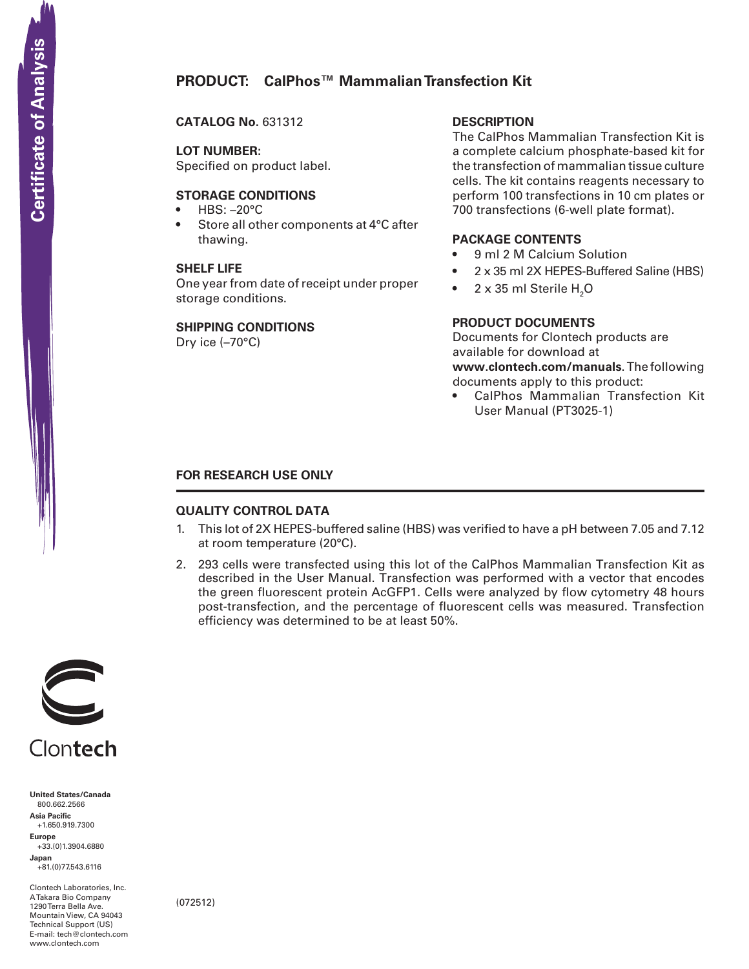# **PRODUCT: CalPhos™ Mammalian Transfection Kit**

**CATALOG No.** 631312

**LOT NUMBER:**

Specified on product label.

# **STORAGE CONDITIONS**

- $HBS: -20°C$
- Store all other components at 4°C after thawing.

### **SHELF LIFE**

One year from date of receipt under proper storage conditions.

#### **SHIPPING CONDITIONS**

Dry ice (–70°C)

# **DESCRIPTION**

The CalPhos Mammalian Transfection Kit is a complete calcium phosphate-based kit for the transfection of mammalian tissue culture cells. The kit contains reagents necessary to perform 100 transfections in 10 cm plates or 700 transfections (6-well plate format).

### **PACKAGE CONTENTS**

- 9 ml 2 M Calcium Solution
- 2 x 35 ml 2X HEPES-Buffered Saline (HBS)
- $2 \times 35$  ml Sterile  $H_2O$

# **PRODUCT DOCUMENTS**

Documents for Clontech products are available for download at **www.clontech.com/manuals**. The following documents apply to this product:

• CalPhos Mammalian Transfection Kit User Manual (PT3025-1)

# **FOR RESEARCH USE ONLY**

### **QUALITY CONTROL DATA**

- 1. This lot of 2X HEPES-buffered saline (HBS) was verified to have a pH between 7.05 and 7.12 at room temperature (20°C).
- 2. 293 cells were transfected using this lot of the CalPhos Mammalian Transfection Kit as described in the User Manual. Transfection was performed with a vector that encodes the green fluorescent protein AcGFP1. Cells were analyzed by flow cytometry 48 hours post-transfection, and the percentage of fluorescent cells was measured. Transfection efficiency was determined to be at least 50%.



**United States/Canada** 800.662.2566 **Asia Pacific** +1.650.919.7300 **Europe** +33.(0)1.3904.6880 **Japan** +81.(0)77.543.6116

Clontech Laboratories, Inc. A Takara Bio Company 1290 Terra Bella Ave. Mountain View, CA 94043 Technical Support (US) E-mail: tech@clontech.com<br>www.clontech.com

(072512)